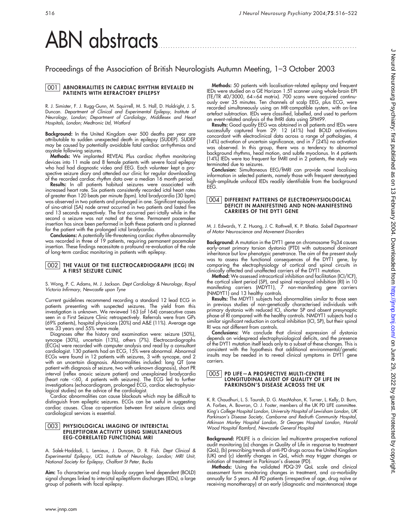# ABN abstracts

## Proceedings of the Association of British Neurologists Autumn Meeting, 1–3 October 2003

#### 001 ABNORMALITIES IN CARDIAC RHYTHM REVEALED IN PATIENTS WITH REFRACTORY EPILEPSY

R. J. Simister, F. J. Rugg-Gunn, M. Squirrell, M. S. Hall, D. Holdright, J. S. Duncan. Department of Clinical and Experimental Epilepsy, Institute of Neurology, London; Department of Cardiology, Middlesex and Heart Hospitals, London; Medtronic Ltd, Watford

Background: In the United Kingdom over 500 deaths per year are attributable to sudden unexpected death in epilepsy (SUDEP). SUDEP may be caused by potentially avoidable fatal cardiac arrhythmias and asystole following seizures.

Methods: We implanted REVEAL Plus cardiac rhythm monitoring devices into 11 male and 8 female patients with severe focal epilepsy who had had diagnostic video and EEG. Each volunteer kept a prospective seizure diary and attended our clinic for regular downloading of the recorded cardiac rhythm data over a median 16 month period.

Results: In all patients habitual seizures were associated with increased heart rate. Six patients consistently recorded ictal heart rates of greater than 120 beats per minute (bpm). Ictal bradycardia (30 bpm) was observed in two patients and prolonged in one. Significant episodes of sino-atrial (SA) node arrest occurred in two patients and lasted five and 13 seconds respectively. The first occurred peri-ictally while in the second a seizure was not noted at the time. Permanent pacemaker insertion has since been performed in both these patients and is planned for the patient with the prolonged ictal bradycardia.

Conclusions: A potentially life-threatening cardiac rhythm abnormality was recorded in three of 19 patients, requiring permanent pacemaker insertion. These findings necessitate a profound re-evaluation of the role of long-term cardiac monitoring in patients with epilepsy.

#### 002 THE VALUE OF THE ELECTROCARDIOGRAPH (ECG) IN A FIRST SEIZURE CLINIC

S. Wong, P. C. Adams, M. J. Jackson. Dept Cardiology & Neurology, Royal Victoria Infirmary, Newcastle upon Tyne

Current guidelines recommend recording a standard 12 lead ECG in patients presenting with suspected seizures. The yield from this investigation is unknown. We reviewed 163 (of 164) consecutive cases seen in a First Seizure Clinic retrospectively. Referrals were from GPs (69% patients), hospital physicians (20%) and A&E (11%). Average age was 33 years and 55% were male.

Diagnoses after the history and examination were: seizure (50%), syncope (30%), uncertain (13%), others (7%). Electrocardiographs (ECGs) were recorded with computer analysis and read by a consultant cardiologist. 130 patients had an ECG, 15% were abnormal. Abnormal ECGs were found in 12 patients with seizures, 3 with syncope, and 2 with an uncertain diagnosis. Abnormalities included: long QT (one patient with diagnosis of seizure, two with unknown diagnosis), short PR interval (reflex anoxic seizure patient) and unexplained bradycardia (heart rate  $<$  60, 4 patients with seizures). The ECG led to further investigations (echocardiogram, prolonged ECG, cardiac electrophysiological studies) on the advice of the cardiologist.

Cardiac abnormalities can cause blackouts which may be difficult to distinguish from epileptic seizures. ECGs can be useful in suggesting cardiac causes. Close co-operation between first seizure clinics and cardiological services is essential.

#### 003 PHYSIOLOGICAL IMAGING OF INTERICTAL EPILEPTIFORM ACTIVITY USING SIMULTANEOUS EEG-CORRELATED FUNCTIONAL MRI

A. Salek-Haddadi, L. Lemieux, J. Duncan, D. R. Fish. Dept Clinical & Experimental Epilepsy, UCL Institute of Neurology, London; MRI Unit, National Society for Epilepsy, Chalfont St Peter, Bucks

Aim: To characterise and map bloody oxygen level dependent (BOLD) signal changes linked to interictal epileptiform discharges (IEDs), a large group of patients with focal epilepsy.

Methods: 50 patients with localisation-related epilepsy and frequent IEDs were studied on a GE Horizon 1.5T scanner using whole-brain EPI (TE/TR 40/3000, 64 $\times$ 64 matrix). 700 scans were acquired continuously over 35 minutes. Ten channels of scalp EEG, plus ECG, were recorded simultaneously using an MR-compatible system, with on-line artefact subtraction. IEDs were classified, labelled, and used to perform an event-related analysis of the fMRI data using SPM99.

Results: Good quality EEG was obtained in all patients and IEDs were successfully captured from 29: 12 (41%) had BOLD activations concordant with electroclinical data across a range of pathologies, 4 (14%) activation of uncertain significance, and in 7 (24%) no activation was observed. In this group, there was a tendency to abnormal background rhythms, head motion, and subtle myoclonus. In 4 patients (14%) IEDs were too frequent for fMRI and in 2 patients, the study was terminated due to seizures.

Conclusion: Simultaneous EEG/fMRI can provide novel localising information in selected patients, namely those with frequent stereotyped high-amplitude unifocal IEDs readily identifiable from the background EEG.

#### 004 DIFFERENT PATTERNS OF ELECTROPHYSIOLOGICAL DEFICIT IN MANIFESTING AND NON-MANIFESTING CARRIERS OF THE DYT1 GENE

M. J. Edwards, Y. Z. Huang, J. C. Rothwell, K. P. Bhatia. Sobell Department of Motor Neuroscience and Movement Disorders

Background: A mutation in the DYT1 gene on chromosome 9q34 causes early-onset primary torsion dystonia (PTD) with autosomal dominant inheritance but low phenotypic penetrance. The aim of the present study was to assess the functional consequences of the DYT1 gene, by comparing the electrophysiology of cortical and spinal circuits in clinically affected and unaffected carriers of the DYT1 mutation.

Method: We assessed intracortical inhibition and facilitation (ICI/ICF), the cortical silent period (SP), and spinal reciprocal inhibition (RI) in 10 manifesting carriers (MDYT1), 7 non-manifesting gene carriers (NMDYT1) and 13 healthy controls.

**Results:** The MDYT1 subjects had abnormalities similar to those seen in previous studies of non-genetically characterised individuals with primary dystonia with reduced ICI, shorter SP and absent presynaptic phase of RI compared with the healthy controls. NMDYT1 subjects had a similar significant reduction in cortical inhibition (ICI, SP), but their spinal RI was not different from controls.

Conclusions: We conclude that clinical expression of dystonia depends on widespread electrophysiological deficits, and the presence of the DYT1 mutation itself leads only to a subset of these changes. This is consistent with the hypothesis that additional environmental/genetic insults may be needed in to reveal clinical symptoms in DYT1 gene carriers.

#### 005 PD LIFE—A PROSPECTIVE MULTI-CENTRE LONGITUDINAL AUDIT OF QUALITY OF LIFE IN PARKINSON'S DISEASE ACROSS THE UK

K. R. Chaudhuri, L. S. Taurah, D. G. MacMahon, K. Turner, L. Kelly, D. Burn, A. Forbes, A. Bowron, O. J. Foster, members of the UK PD LIFE committee. King's College Hospital London, University Hospital of Lewisham London, UK Parkinson's Disease Society, Camborne and Redruth Community Hospital, Atkinson Morley Hospital London, St Georges Hospital London, Harold Wood Hospital Romford, Newcastle General Hospital

Background: PDLIFE is a clinician led multicentre prospective national audit monitoring (a) changes in Quality of Life in response to treatment (QoL), (b) prescribing trends of anti-PD drugs across the United Kingdom (UK) and (c) identify changes in QoL, which may trigger changes or initiation of treatment in Parkinson's disease (PD).

Methods: Using the validated PDQ-39 QoL scale and clinical assessment form monitoring changes in treatment, and co-morbidity annually for 5 years. All PD patients (irrespective of age, drug naı̈ve or receiving monotherapy) at an early (diagnostic and maintenance) stage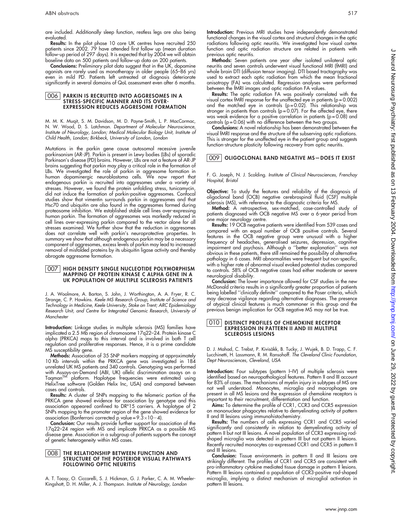Results: In the pilot phase 10 core UK centres have recruited 250 patients since 2002. 79 have attended first follow up (mean duration follow-up period of 297 days). It is expected that by 2004 we will obtain baseline data on 500 patients and follow-up data on 200 patients.

Conclusions: Preliminary pilot data suggest that in the UK, dopamine agonists are rarely used as monotherapy in older people (65–86 yrs) even in mild PD. Patients left untreated at diagnosis deteriorate significantly in several domains of QoL assessment even after 6 months.

#### 006 PARKIN IS RECRUITED INTO AGGRESOMES IN A STRESS-SPECIFIC MANNER AND ITS OVER-EXPRESSION REDUCES AGGRESOME FORMATION

M. M. K. Muqit, S. M. Davidson, M. D. Payne-Smith, L. P. MacCormac, N. W. Wood, D. S. Latchman. Department of Molecular Neuroscience, Institute of Neurology, London; Medical Molecular Biology Unit, Institute of Child Health, London; Birkbeck, University of London, London

Mutations in the parkin gene cause autosomal recessive juvenile parkinsonism (AR-JP). Parkin is present in Lewy bodies (LBs) of sporadic Parkinson's disease (PD) brains. However, LBs are not a feature of AR-JP brains suggesting that parkin may play a critical role in the formation of LBs. We investigated the role of parkin in aggresome formation in human dopaminergic neuroblastoma cells. We now report that endogenous parkin is recruited into aggresomes under a variety of stresses. However, we found the protein unfolding stress, tunicamycin, did not induce the formation of parkin-positive aggresomes. Confocal studies show that vimentin surrounds parkin in aggresomes and that Hsc70 and ubiquitin are also found in the aggresomes formed during proteosome inhibition. We established stable cell lines over-expressing human parkin. The formation of aggresomes was markedly reduced in cell lines over-expressing parkin compared to the vector alone for all stresses examined. We further show that the reduction in aggresomes does not correlate well with parkin's neuroprotective properties. In summary we show that although endogenous parkin may be a necessary component of aggresomes, excess levels of parkin may lead to increased removal of misfolded proteins by its ubiquitin ligase activity and thereby abrogate aggresome formation.

#### **007 | HIGH DENSITY SINGLE NUCLEOTIDE POLYMORPHISM** MAPPING OF PROTEIN KINASE C ALPHA GENE IN A UK POPULATION OF MULTIPLE SCLEROSIS PATIENTS

J. A. Woolmore, A. Barton, S. John, J. Worthington, A. A. Fryer, R. C. Strange, C. P. Hawkins. Keele MS Research Group, Institute of Science and Technology in Medicine, Keele University, Stoke on Trent; ARC Epidemiology Research Unit, and Centre for Integrated Genomic Research, University of Manchester

Introduction: Linkage studies in multiple sclerosis (MS) families have implicated a 2.5 Mb region of chromosome 17q22–24. Protein kinase C alpha (PRKCA) maps to this interval and is involved in both T cell regulation and proliferative responses. Hence, it is a prime candidate MS susceptibility gene.

Methods: Association of 35 SNP markers mapping at approximately 10 Kb intervals within the PRKCA gene was investigated in 184 unrelated UK MS patients and 340 controls. Genotyping was performed with Assays-on-Demand (ABI, UK) allelic discrimination assays on a<br>Taqman™ platform. Haplotype frequencies were estimated using HelixTree software (Golden Helix Inc, USA) and compared between cases and controls.

Results: A cluster of SNPs mapping to the telomeric portion of the PRKCA gene showed evidence for association by genotype and this association appeared confined to DR\*15 carriers. A haplotype of 2 SNPs mapping to the promoter region of the gene showed evidence for association (Bonferroni corrected p value =  $9.3\times10-4$ ).

**Conclusion:** Our results provide further support for association of the 17q22–24 region with MS and implicate PRKCA as a possible MS disease gene. Association in a subgroup of patients supports the concept of genetic heterogeneity within MS cases.

#### **008** THE RELATIONSHIP BETWEEN FUNCTION AND STRUCTURE OF THE POSTERIOR VISUAL PATHWAYS FOLLOWING OPTIC NEURITIS

A. T. Toosy, O. Ciccarelli, S. J. Hickman, G. J. Parker, C. A. M. Wheeler-Kingshott, D. H. Miller, A. J. Thompson. Institute of Neurology, London

Introduction: Previous MRI studies have independently demonstrated functional changes in the visual cortex and structural changes in the optic radiations following optic neuritis. We investigated how visual cortex function and optic radiation structure are related in patients with previous optic neuritis.

Methods: Seven patients one year after isolated unilateral optic neuritis and seven controls underwent visual functional MRI (fMRI) and whole brain DTI (diffusion tensor imaging). DTI based tractography was used to extract each optic radiation from which the mean fractional anisotropy (FA) was calculated. Regression analyses were performed between the fMRI images and optic radiation FA values.

Results: The optic radiation FA was positively correlated with the visual cortex fMRI response for the unaffected eye in patients (p = 0.002) and the matched eye in controls (p = 0.02). This relationship was stronger in patients than controls ( $p = 0.07$ ). For the affected eye, there was weak evidence for a positive correlation in patients ( $p = 0.08$ ) and controls (p = 0.06) with no difference between the two groups.

Conclusions: A novel relationship has been demonstrated between the visual fMRI response and the structure of the subserving optic radiations. This is stronger for the unaffected eye in the patient group and suggests function-structure plasticity following recovery from optic neuritis.

### 009 OLIGOCLONAL BAND NEGATIVE MS—DOES IT EXIST

F. G. Joseph, N. J. Scolding. Institute of Clinical Neurosciences, Frenchay Hospital, Bristol

**Objective:** To study the teatures and reliability of the diagnosis of oligoclonal band (OCB) negative cerebrospinal fluid (CSF) multiple sclerosis (MS), with reference to the diagnostic criteria for MS.

Method: A retrospective, sex-matched, case-controlled study of patients diagnosed with OCB negative MS over a 6-year period from one major neurology centre.

Results: 19 OCB negative patients were identified from 539 cases and compared with an equal number of OCB positive controls. Several features in the OCB negative group were unusual with a higher frequency of headaches, generalised seizures, depression, cognitive impairment and psychosis. Although a ''better explanation'' was not obvious in these patients, there still remained the possibility of alternative pathology in 6 cases. MRI abnormalities were frequent but non-specific, with a higher rate of abnormal visual evoked potential studies compared to controls. 58% of OCB negative cases had either moderate or severe neurological disability.

**Conclusion:** The lower importance allowed for CSF studies in the new McDonald criteria results in a significantly greater proportion of patients being labelled ''clinically definite'' compared to the Poser criteria, which may decrease vigilance regarding alternative diagnoses. The presence of atypical clinical features is much commoner in this group and the previous benign implication for OCB negative MS may not be true.

#### 010 DISTINCT PROFILES OF CHEMOKINE RECEPTOR EXPRESSION IN PATTERN II AND III MULTIPLE SCLEROSIS LESIONS

D. J. Mahad, C. Trebst, P. Kivisäkk, B. Tucky, J. Wujek, B. D. Trapp, C. F. Lucchinetti, H. Lassmann, R. M. Ransohoff. The Cleveland Clinic Foundation, Dept Neurosciences, Cleveland, USA

Introduction: Four subtypes (pattern I–IV) of multiple sclerosis were identified based on neuropathological features. Pattern II and III account for 83% of cases. The mechanisms of myelin injury in subtypes of MS are not well understood. Monocytes, microglia and macrophages are present in all MS lesions and the expression of chemokine receptors is important to their recruitment, differentiation and function.

Aims: To determine the profile of CCR1, CCR3 and CCR5 expression on mononuclear phagocytes relative to demyelinating activity of pattern II and III lesions using immunohistochemistry.

**Results:** The numbers of cells expressing CCR1 and CCR5 varied significantly and consistently in relation to demyelinating activity of pattern II but not III lesions. A novel population of CCR3 expressing rodshaped microglia was detected in pattern III but not pattern II lesions. Recently recruited monocytes co-expressed CCR1 and CCR5 in pattern II and III lesions.

Conclusion: Tissue environments in pattern II and III lesions are strikingly different. The profiles of CCR1 and CCR5 are consistent with pro-inflammatory cytokine mediated tissue damage in pattern II lesions. Pattern III lesions contained a population of CCR3-positive rod-shaped microglia, implying a distinct mechanism of microglial activation in pattern III lesions.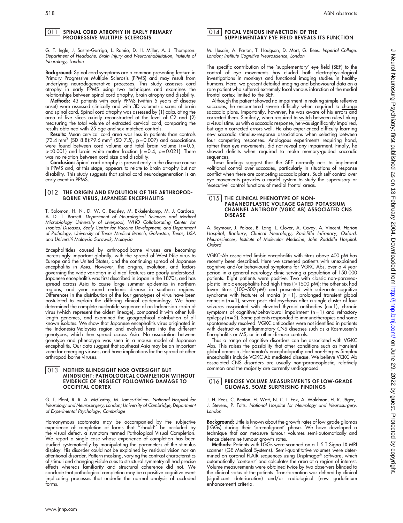#### **011** SPINAL CORD ATROPHY IN EARLY PRIMARY PROGRESSIVE MULTIPLE SCLEROSIS

G. T. Ingle, J. Sastre-Garriga, L. Ramio, D. H. Miller, A. J. Thompson. Department of Headache, Brain Injury and Neurorehabilitation, Institute of Neurology, London

Background: Spinal cord symptoms are a common presenting feature in Primary Progressive Multiple Sclerosis (PPMS) and may result from underlying neurodegenerative processes. This study assesses cord atrophy in early PPMS using two techniques and examines the relationships between spinal cord atrophy, brain atrophy and disability.

Methods: 43 patients with early PPMS (within 5 years of disease onset) were assessed clinically and with 3D volumetric scans of brain and spinal cord. Spinal cord atrophy was assessed by (1) calculating the area of five slices axially reconstructed at the level of C2 and (2) measuring the total volume of extracted cervical cord, comparing the results obtained with 25 age and sex matched controls.

**Results:** Mean cervical cord area was less in patients than controls<br>(73.4 mm<sup>2</sup> (SD 8.8):79.6 mm<sup>2</sup> (SD 7.5), p = 0.007) and associations were found between cord volume and total brain volume ( $r = 0.5$ ,  $p$ <0.001) and brain white matter fraction ( $r = 0.4$ ,  $p = 0.021$ ). There was no relation between cord size and disability.

Conclusion: Spinal cord atrophy is present early in the disease course in PPMS and, at this stage, appears to relate to brain atrophy but not disability. This study suggests that spinal cord neurodegeneration is an early event in PPMS.

#### 012 THE ORIGIN AND EVOLUTION OF THE ARTHROPOD-BORNE VIRUS, JAPANESE ENCEPHALITIS

T. Solomon, H. Ni, D. W. C. Beasley, M. Ekkelenkamp, M. J. Cardosa, A. D. T. Barrett. Department of Neurological Sciences and Medical Microbiology University of Liverpool, WHO Collaborating Center for Tropical Diseases, Sealy Center for Vaccine Development, and Department of Pathology, University of Texas Medical Branch, Galveston, Texas, USA and Universiti Malaysia Sarawak, Malaysia

Encephalitides caused by arthropod-borne viruses are becoming increasingly important globally, with the spread of West Nile virus to Europe and the United States, and the continuing spread of Japanese encephalitis in Asia. However, the origins, evolution, and factors governing the wide variation in clinical features are poorly understood. Japanese encephalitis was first described in Japan in the 1870s, and has spread across Asia to cause large summer epidemics in northern regions, and year round endemic disease in southern regions. Differences in the distribution of the four genotypes of virus have been postulated to explain the differing clinical epidemiology. We have determined the complete nucleotide sequence of an Indonesian strain of virus (which represent the oldest lineage), compared it with other fulllength genomes, and examined the geographical distribution of all known isolates. We show that Japanese encephalitis virus originated in the Indonesia-Malaysia region and evolved here into the different genotypes, which then spread across Asia. No association between genotype and phenotype was seen in a mouse model of Japanese encephalitis. Our data suggest that southeast Asia may be an important zone for emerging viruses, and have implications for the spread of other arthropod-borne viruses.

#### 013 NEITHER BLINDSIGHT NOR OVERSIGHT BUT MINDSIGHT: PATHOLOGICAL COMPLETION WITHOUT EVIDENCE OF NEGLECT FOLLOWING DAMAGE TO OCCIPITAL CORTEX

G. T. Plant, R. R. A. McCarthy, M. James-Galton. National Hospital for Neurology and Neurosurgery, London; University of Cambridge, Department of Experimental Psychology, Cambridge

Homonymous scotomata may be accompanied by the subjective experience of completion of forms that ''should'' be occluded by the visual defect, a symptom termed Pathological Visual Completion. We report a single case whose experience of completion has been studied systematically by manipulating the parameters of the stimulus display. His disorder could not be explained by residual vision nor an attentional disorder. Pattern masking, varying the contrast characteristics of stimuli and changing visible cues to structural symmetry all had precise effects whereas familiarity and structural coherence did not. We conclude that pathological completion may be a positive cognitive event implicating processes that underlie the normal analysis of occluded forms.

#### 014 FOCAL VENOUS INFARCTION OF THE SUPPLEMENTARY EYE FIELD REVEALS ITS FUNCTION

M. Husain, A. Parton, T. Hodgson, D. Mort, G. Rees. Imperial College, London; Institute Cognitive Neuroscience, London

The specific contribution of the 'supplementary' eye field (SEF) to the control of eye movements has eluded both electrophysiological investigations in monkeys and functional imaging studies in healthy humans. Here, we present detailed imaging and behavioural data on a rare patient who suffered extremely focal venous infarction of the medial frontal cortex limited to the SEF.

Although the patient showed no impairment in making simple reflexive saccades, he encountered severe ditticulty when required to change saccadic plans. Importantly, however, he was aware of his errors and corrected them. Similarly, when required to switch between rules linking a visual stimulus with a saccadic response, he was significantly impaired, but again corrected errors well. He also experienced difficulty learning new saccadic stimulus-response associations when selecting between four competing responses. Analogous experiments requiring hand, rather than eye movements, did not reveal any impairment. Finally, he showed deficits when required to make memory-guided saccadic sequences.

These findings suggest that the SEF normally acts to implement volitional control over saccades, particularly in situations of response conflict when there are competing saccadic plans. Such self-control over eye movements provides a model system to study the supervisory or 'executive' control functions of medial frontal areas.

#### 015 THE CLINICAL PHENOTYPE OF NON-PARANEOPLASTIC VOLTAGE GATED POTASSIUM CHANNEL ANTIBODY (VGKC AB) ASSOCIATED CNS DISEASE

A. Seymour, J. Palace, B. Lang, L. Clover, A. Cavey, A. Vincent. Horton Hospital, Banbury; Clinical Neurology, Radcliffe Infirmary, Oxford; Neurosciences, Institute of Molecular Medicine, John Radcliffe Hospital, Oxford

VGKC-Ab associated limbic encephalitis with titres above 400 pM has recently been described. Here we screened patients with unexplained cognitive and/or behavioural symptoms for VGKC Abs, over a 4 year period in a general neurology clinic serving a population of 150 000 patients. Eight patients were positive. Two with classic non-paraneoplastic limbic encephalitis had high titres (>1500 pM); the other six had lower titres (100–500 pM) and presented with sub-acute cognitive syndrome with features of mania (n = 1), prolonged transient global amnesia (n = 1), severe post-ictal psychosis after a single cluster of four seizures associated with elevated thyroid antibodies (n=1), chronic symptoms of cognitive/behavioural impairment  $(n = 1)$  and refractory epilepsy (n = 2). Some patients responded to immunotherapies and some spontaneously resolved. VGKC antibodies were not identified in patients with destructive or inflammatory CNS diseases such as a Rasmussen's Encephalitis or MS, or in other disease controls.

Thus a range of cognitive disorders can be associated with VGKC Abs. This raises the possibility that other conditions such as transient global amnesia, Hashimoto's encephalopathy and non-Herpes Simplex encephalitis include VGKC Ab mediated disease. We believe VCKC Ab associated CNS disorders are usually non-paraneoplastic, relatively common and the majority are currently undiagnosed.

#### 016 PRECISE VOLUME MEASUREMENTS OF LOW-GRADE GLIOMAS. SOME SURPRISING FINDINGS

J. H. Rees, C. Benton, H. Watt, N. C. I. Fox, A. Waldman, H. R. Jäger, J. Stevens, P. Tofts. National Hospital for Neurology and Neurosurgery, London

**Background:** Little is known about the growth rates of low-grade gliomas (LGGs) during their 'premalignant' phase. We have developed a technique that can measure tumour volumes semi-automatically and hence determine tumour growth rates.

Methods: Patients with LGGs were scanned on a 1.5 T Signa LX MRI scanner (GE Medical Systems). Semi-quantitative volumes were determined on coronal FLAIR sequences using DispImage® software, which automatically 'contours' and calculates the area of a region of interest. Volume measurements were obtained twice by two observers blinded to the clinical status of the patients. Transformation was defined by clinical (significant deterioration) and/or radiological (new gadolinium enhancement) criteria.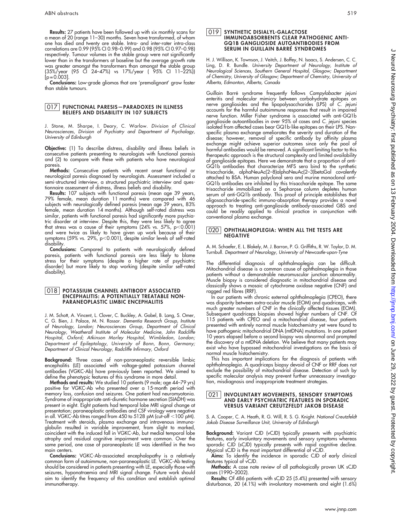Results: 27 patients have been followed up with six monthly scans for a mean of 20 (range 11–30) months. Seven have transformed, of whom one has died and twenty are stable. Intra- and inter-rater intra-class correlations are 0.99 (95% CI 0.98–0.99) and 0.98 (95% CI 0.97–0.98) respectively. Tumour volumes in the stable group were not significantly lower than in the transformers at baseline but the average growth rate was greater amongst the transformers than amongst the stable group (35%/year (95 CI 24–47%) vs 17%/year ( 95% CI 11–22%))  $[p = 0.003]$ .

Conclusions: Low-grade gliomas that are 'premalignant' grow faster than stable tumours.

# 017 FUNCTIONAL PARESIS—PARADOXES IN ILLNESS BELIEFS AND DISABILITY IN 107 SUBJECTS

J. Stone, M. Sharpe, I. Deary, C. Warlow. Division of Clinical Neurosciences, Division of Psychiatry and Department of Psychology, University of Edinburgh

Objective: (1) To describe distress, disability and illness beliefs in consecutive patients presenting to neurologists with functional paresis and (2) to compare with these with patients who have neurological paresis.

Methods: Consecutive patients with recent onset functional or neurological paresis diagnosed by neurologists. Assessment included a semi-structured interview, a structured psychiatric interview and questionnaire assessment of distress, illness beliefs and disability.

Results: 107 subjects with functional paresis (mean age 39 years) 79% female, mean duration 11 months) were compared with 46 subjects with neurologically defined paresis (mean age 39 years, 83% female, mean duration 14 months). Although self-rated distress was similar, patients with functional paresis had significantly more psychiatric disorder at interview. Despite this, they were less likely to agree that stress was a cause of their symptoms (24% vs. 57%, p $<$ 0.001) and were twice as likely to have given up work because of their symptoms (59% vs. 29%, p<0.001), despite similar levels of self-rated disability.

Conclusions: Compared to patients with neurologically defined paresis, patients with functional paresis are less likely to blame stress for their symptoms (despite a higher rate of psychiatric disorder) but more likely to stop working (despite similar self-rated disability).

#### 018 POTASSIUM CHANNEL ANTIBODY ASSOCIATED ENCEPHALITIS: A POTENTIALLY TREATABLE NON-PARANEOPLASTIC LIMBIC ENCEPHALITIS

J. M. Schott, A. Vincent, L. Clover, C. Buckley, A. Gabel, B. Lang, S. Omer, C. G. Bien, J. Palace, M. N. Rossor. Dementia Research Group, Institute of Neurology, London; Neurosciences Group, Department of Clinical Neurology, Weatherall Institute of Molecular Medicine, John Radcliffe Hospital, Oxford; Atkinson Morley Hospital, Wimbledon, London; Department of Epileptology, University of Bonn, Bonn, Germany; Department of Clinical Neurology, Radcliffe Infirmary, Oxford

Background: Three cases of non-paraneoplastic reversible limbic encephalitis (LE) associated with voltage-gated potassium channel antibodies (VGKC-Ab) have previously been reported. We aimed to define the phenotypic features of this syndrome in more detail.

**Methods and results:** We studied 10 patients (9 male; age 44–79 yrs) positive for VGKC-Ab who presented over a 15-month period with memory loss, confusion and seizures. One patient had neuromyotonia. Syndrome of inappropriate anti-diuretic hormone secretion (SIADH) was present in eight. Eight patients had temporal lobe MRI signal change at presentation; paraneoplastic antibodies and CSF virology were negative in all. VGKC-Ab titres ranged from 450 to 5128 pM (cut-off  $<$ 100 pM). Treatment with steroids, plasma exchange and intravenous immunoglobulin resulted in variable improvement, from slight to marked, coincident with the induced fall in VGKC-Ab, but medial temporal lobe atrophy and residual cognitive impairment were common. Over the same period, one case of paraneoplastic LE was identified in the two main centers.

Conclusions: VGKC-Ab-associated encephalopathy is a relatively common form of autoimmune, non-paraneoplastic LE. VGKC-Ab testing should be considered in patients presenting with LE, especially those with seizures, hyponatraemia and MRI signal change. Future work should aim to identify the frequency of this condition and establish optimal immunotherapy.

#### 019 SYNTHETIC DISIALYL-GALACTOSE IMMUNOABSORBENTS CLEAR PATHOGENIC ANTI-GQ1B GANGLIOSIDE AUTOANTIBODIES FROM SERUM IN GUILLAIN BARRÉ SYNDROMES

H. J. Willison, K. Townson, J. Veitch, J. Boffey, N. Isaacs, S. Andersen, C. C. Ling, D. R. Bundle. University Department of Neurology, Institute of Neurological Sciences, Southern General Hospital, Glasgow; Department of Chemistry, University of Glasgow; Department of Chemistry, University of Alberta, Edmonton, Alberta, Canada

Guillain Barré syndrome frequently follows Campylobacter jejuni enteritis and molecular mimicry between carbohydrate epitopes on nerve gangliosides and the lipopolysaccharides (LPS) of C. jejuni accounts for the harmful autoimmune responses that result in impaired nerve function. Miller Fisher syndrome is associated with anti-GQ1b ganglioside autoantibodies in over 95% of cases and C. jejuni species isolated from affected cases bear GQ1b-like epitopes on their LPS. Nonspecific plasma exchange ameliorates the severity and duration of the disease; however, removal of specific antibody by affinity plasma exchange might achieve superior outcomes since only the pool of harmful antibodies would be removed. A significant limiting factor to this therapeutic approach is the structural complexity and limited availability of ganglioside epitopes. Here we demonstrate that a proportion of anti-GQ1b antibodies that characterize MFS sera bind to the synthetic trisaccharide, alphaNeuAc(2–8)alphaNeuAc(2–3)betaGal covalently attached to BSA. Human polyclonal sera and murine monoclonal anti-GQ1b antibodies are inhibited by this trisaccharide epitope. The same trisaccharide immobilized on a Sepharose column depletes human serum of anti-GQ1b antibody. This proof of principle establishes that oligosaccharide-specific immuno-absorption therapy provides a novel approach to treating anti-ganglioside antibody-associated GBS and could be readily applied to clinical practice in conjunction with conventional plasma exchange.

#### 020 | OPHTHALMOPLEGIA: WHEN ALL THE TESTS ARE NEGATIVE

A. M. Schaefer, E. L. Blakely, M. J. Barron, P. G. Griffiths, R. W. Taylor, D. M. Turnbull. Department of Neurology, University of Newcastle-upon-Tyne

The differential diagnosis of ophthalmoplegia can be difficult. Mitochondrial disease is a common cause of ophthalmoplegia in those patients without a demonstrable neuromuscular junction abnormality. Muscle biopsy is considered diagnostic in mitochondrial disease and classically shows a mosaic of cytochrome oxidase negative (CNF) and ragged red fibres (RRF).

In our patients with chronic external ophthalmoplegia (CPEO), there was disparity between extra-ocular muscle (EOM) and quadriceps, with much greater numbers of CNF in the clinically affected tissues (EOM). Subsequent quadriceps biopsies showed higher numbers of CNF. Of 115 patients with CPEO and a mitochondrial disease, four patients presented with entirely normal muscle histochemistry yet were found to have pathogenic mitochondrial DNA (mtDNA) mutations. In one patient 10 years elapsed before a second biopsy was abnormal and prompted the discovery of a mtDNA deletion. We believe that many patients may exist who have bypassed mitochondrial investigations on the basis of normal muscle histochemistry.

This has important implications for the diagnosis of patients with ophthalmoplegia. A quadriceps biopsy devoid of CNF or RRF does not exclude the possibility of mitochondrial disease. Detection of such by specific molecular analysis may prevent further unnecessary investigation, misdiagnosis and inappropriate treatment strategies.

## 021 INVOLUNTARY MOVEMENTS, SENSORY SYMPTOMS AND EARLY PSYCHIATRIC FEATURES IN SPORADIC VERSUS VARIANT CREUTZFELDT JAKOB DISEASE

S. A. Cooper, C. A. Heath, R. G. Will, R. S. G. Knight. National Creutzfeldt Jakob Disease Surveillance Unit, University of Edinburgh

Background: Variant CJD (vCJD) typically presents with psychiatric features, early involuntary movements and sensory symptoms whereas sporadic CJD (sCJD) typically presents with rapid cognitive decline. Atypical sCJD is the most important differential of vCJD.

Aims: To identify the incidence in sporadic CJD of early clinical features typical of vCJD.

Methods: A case note review of all pathologically proven UK sCJD cases (1990–2002).

Results: Of 486 patients with sCJD 25 (5.4%) presented with sensory disturbance, 20 (4.1%) with involuntary movements and eight (1.6%)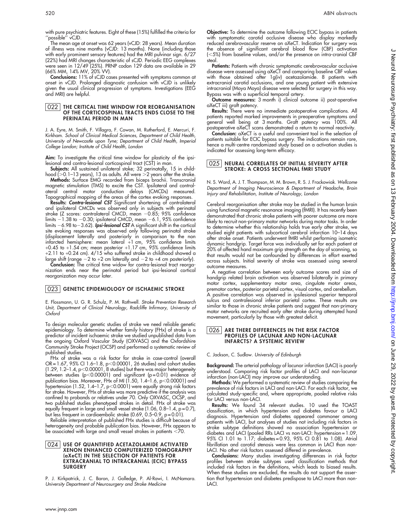with pure psychiatric features. Eight of these (15%) fulfilled the criteria for ''possible'' vCJD.

The mean age at onset was 62 years (vCJD: 28 years). Mean duration of illness was nine months (vCJD: 13 months). None (including those with early prominent sensory features) had the MRI pulvinar sign. 6/27 (22%) had MRI changes characteristic of sCJD. Periodic EEG complexes were seen in 12/49 (25%). PRNP codon 129 data are available in 29 (66% MM, 14% MV, 20% VV).

Conclusions: 11% of sCJD cases presented with symptoms common at onset in vCJD. Prolonged diagnostic confusion with vCJD is unlikely given the usual clinical progression of symptoms. Investigations (EEG and MRI) are helpful.

#### 022 | THE CRITICAL TIME WINDOW FOR REORGANISATION OF THE CORTICOSPINAL TRACTS ENDS CLOSE TO THE PERINATAL PERIOD IN MAN

J. A. Eyre, M. Smith, F. Villagra, F. Cowan, M. Rutherford, E. Mercuri, F. Kirkham. School of Clinical Medical Sciences, Department of Child Health, University of Newcastle upon Tyne; Department of Child Health, Imperial College London; Institute of Child Health, London

Aim: To investigate the critical time window for plasticity of the ipsilesional and contra-lesional corticospinal tract (CST) in man.

Subjects: All sustained unilateral stoke; 32 perinatally, 15 in childhood (>0.1–13 years), 13 as adults. All were >2 years after the stroke.

Methods: Surface EMG recorded from biceps brachii. Transcranial magnetic stimulation (TMS) to excite the CST. Ipsilateral and contralateral central motor conduction delays (CMCDs) measured. Topographical mapping of the areas of the cortex evoking responses.

Results: Contra-lesional CST Significant shortening of contralateral and ipsilateral CMCDs was observed only in subjects with perinatal stroke (Z scores: contralateral CMCD, mean -0.85; 95% confidence limits – 1.38 to –0.30; ipsilateral CMCD, mean –6.1, 95% confidence limits  $-$  6.98 to $-$  3.62). **Ipsi-lesional CST** A significant shift in the cortical site evoking responses was observed only following perinatal stroke (displacement laterally and posteriorly in comparison to the non infarcted hemisphere: mean lateral +1 cm, 95% confidence limits  $+0.45$  to  $+1.54$  cm; mean posterior  $+1.17$  cm, 95% confidence limits +2.11 to +0.24 cm). 4/15 who suffered stroke in childhood showed a large shift (range  $-2$  to  $+2$  cm laterally and  $-2$  to  $+4$  cm posteriorly).

Conclusion: The critical time widow for contra-lesional tract reorga nization ends near the perinatal period but ipsi-lesional cortical reorganization may occur later.

#### 023 GENETIC EPIDEMIOLOGY OF ISCHAEMIC STROKE

E. Flossmann, U. G. R. Schulz, P. M. Rothwell. Stroke Prevention Research Unit, Department of Clinical Neurology, Radcliffe Infirmary, University of Oxford

To design molecular genetic studies of stroke we need reliable genetic epidemiology. To determine whether family history (FHx) of stroke is a predictor of incident ischaemic stroke we studied unpublished data from the ongoing Oxford Vascular Study (OXVASC) and the Oxfordshire Community Stroke Project (OCSP) and performed a systematic review of published studies.

FHx of stroke was a risk factor for stroke in case-control (overall OR=1.67, 95% CI 1.6–1.8, p<0.00001, 26 studies) and cohort studies (1.29, 1.2–1.4, p $<$ 0.00001, 8 studies) but there was major heterogeneity between studies ( $p$ <0.00001) and significant ( $p$ =0.01) evidence of publication bias. Moreover, FHx of MI (1.50, 1.4–1.6, p<0.00001) and hypertension (1.52, 1.4–1.7, p<0.0001) were equally strong risk factors for stroke. However, FHx of stroke was more predictive if the analysis was confined to probands or relatives under 70. Only OXVASC, OCSP, and two published studies phenotyped strokes in detail. FHx of stroke was equally frequent in large and small vessel stroke (1.06, 0.8-1.4, p = 0.7), but less frequent in cardioembolic stroke (0.69, 0.5-0.9, p=0.01).

Reliable interpretation of published FHx studies is difficult because of heterogeneity and probable publication bias. However, FHx appears to be associated with large and small vessel strokes in patients  $<$ 70.

#### 024 USE OF QUANTIFIED ACETAZOLAMIDE ACTIVATED XENON ENHANCED COMPUTERIZED TOMOGRAPHY (aXeCT) IN THE SELECTION OF PATIENTS FOR EXTRACRANIAL TO INTRACRANIAL (ECIC) BYPASS **SURGERY**

P. J. Kirkpatrick, J. C. Baron, J. Golledge, P. Al-Rawi, I. McNamara. University Department of Neurosurgery and Stroke Medicine

Objective: To determine the outcome following ECIC bypass in patients with symptomatic carotid occlusive disease who display markedly reduced cerebrovascular reserve on aXeCT. Indication for surgery was the absence of significant cerebral blood flow (CBF) activation  $(<5%)$  from baseline values, and/or the presence on intra-cranial CBF steal.

**Patients:** Patients with chronic symptomatic cerebrovascular occlusive disease were assessed using aXeCT and comparing baseline CBF values with those obtained after 1g(iv) acetazolamide. 8 patients with extracranial carotid occlusions, and one young patient with extensive intracranial (Moya Moya) disease were selected for surgery in this way. Bypass was with a superficial temporal artery.

Outcome measures: 3 month i) clinical outcome ii) post-operative aXeCT iii) graft patency.

Results: There were no immediate postoperative complications. All patients reported marked improvements in preoperative symptoms and general well being at 3 months. Graft patency was 100%. All postoperative aXeCT scans demonstrated a return to normal reactivity.

Conclusion: aXeCT is a useful and convenient tool in the selection of patients suitable for ECIC bypass surgery. The indications remain rare, hence a multi-centre randomized study based on a activation studies is indicated for assessing long-term efficacy.

#### 025 NEURAL CORRELATES OF INITIAL SEVERITY AFTER STROKE: A CROSS SECTIONAL fMRI STUDY

N. S. Ward, A. J. T. Thompson, M. M. Brown, R. S. J. Frackowiak. Wellcome Department of Imaging Neuroscience & Department of Headache, Brain Injury and Rehabilitation, Institute of Neurology, London

Cerebral reorganisation after stroke may be studied in the human brain using functional magnetic resonance imaging (fMRI). It has recently been demonstrated that chronic stroke patients with poorer outcome are more likely to recruit non-primary motor networks during motor tasks. In order to determine whether this relationship holds true early after stroke, we studied eight patients with subcortical cerebral infarction 10–14 days after stroke onset. Patients underwent fMRI whilst performing isometric dynamic handgrip. Target force was individually set for each patient at 20% of affected hand maximum grip strength on the day of scanning, so that results would not be confounded by differences in effort exerted across subjects. Initial severity of stroke was assessed using several outcome measures.

A negative correlation between early outcome scores and size of handgrip related brain activation was observed bilaterally in primary motor cortex, supplementary motor area, cingulate motor areas, premotor cortex, posterior parietal cortex, visual cortex, and cerebellum. A positive correlation was observed in ipsilesional superior temporal sulcus and contralesional inferior parietal cortex. These results are similar to those in chronic stroke patients and suggest that non-primary motor networks are recruited early after stroke during attempted hand movement, particularly by those with greatest deficit.

#### 026 ARE THERE DIFFERENCES IN THE RISK FACTOR PROFILES OF LACUNAR AND NON-LACUNAR INFARCTS? A SYSTEMIC REVIEW

C. Jackson, C. Sudlow. University of Edinburgh

Background: The arterial pathology of lacunar infarction (LACI) is poorly understood. Comparing risk factor profiles of LACI and non-lacunar infarction (non-LACI) may improve our understanding.

Methods: We performed a systematic review of studies comparing the prevalence of risk factors in LACI and non-LACI. For each risk factor, we calculated study-specific and, where appropriate, pooled relative risks for LACI versus non-LACI.

Results: We found 34 relevant studies. 10 used the TOAST classification, in which hypertension and diabetes favour a LACI diagnosis. Hypertension and diabetes appeared commoner among patients with LACI, but analyses of studies not including risk factors in stroke subtype definitions showed no association hypertension or diabetes and LACI (pooled RRs LACI vs non-LACI: hypertension = 1.09, 95% CI 1.01 to 1.17; diabetes = 0.93, 95% CI 0.81 to 1.08). Atrial fibrillation and carotid stenosis were less common in LACI than non-LACI. No other risk factors assessed differed in prevalence.

Conclusions: Many studies investigating differences in risk factor profiles between stroke subtypes used classification methods that included risk factors in the definitions, which leads to biased results. When these studies are excluded, the results do not support the assertion that hypertension and diabetes predispose to LACI more than non-LACI.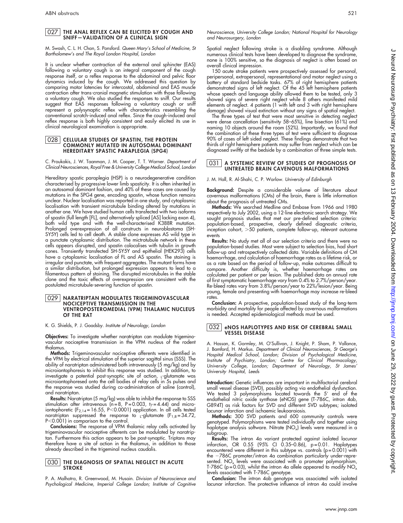#### 027 THE ANAL REFLEX CAN BE ELICITED BY COUGH AND SNIFF—VALIDATION OF A CLINICAL SIGN

M. Swash, C. L. H. Chan, S. Ponsford. Queen Mary's School of Medicine, St Bartholomew's and The Royal London Hospital, London

It is unclear whether contraction of the external anal sphincter (EAS) following a voluntary cough is an integral component of the cough response itself, or a reflex response to the abdominal and pelvic floor dynamics induced by the cough. We addressed this question by comparing motor latencies for intercostal, abdominal and EAS muscle contraction after trans-cranial magnetic stimulation with those following a voluntary cough. We also studied the responses to sniff. Our results suggest that EAS responses following a voluntary cough or sniff represent a polysynaptic reflex with characteristics resembling the conventional scratch-induced anal reflex. Since the cough-induced anal reflex response is both highly consistent and easily elicited its use in clinical neurological examination is appropriate.

## <u>028 CELLULAR STUDIES OF SPASTIN, THE PROTEINCO ON C</u>OMMONLY MUTATED IN AUTOSOMAL DOMINANT HEREDITARY SPASTIC PARAPLEGIA (SPG4)

C. Proukakis, J. W. Taanman, J. M. Cooper, T. T. Warner. Department of Clinical Neurosciences, Royal Free & University College Medical School, London

Hereditary spastic paraplegia (HSP) is a neurodegenerative condition characterised by progressive lower limb spasticity. It is often inherited in an autosomal dominant fashion, and 40% of these cases are caused by mutations in the SPG4 gene, encoding spastin, whose function remains unclear. Nuclear localisation was reported in one study, and cytoplasmic localisation with transient microtubule binding altered by mutations in another one. We have studied human cells transfected with two isoforms of spastin (full length [FL], and alternatively spliced [AS] lacking exon 4), both wild type and with the well-characterised K388R mutation. Prolonged overexpression of all constructs in neuroblastoma (SH-SY5Y) cells led to cell death. A stable clone expresses AS wild type in a punctate cytoplasmic distribution. The mictrotubule network in these cells appears disrupted, and spastin colocalises with tubulin in growth cones. Transiently transfected SH-SY5Y and epithelial (HEK293) cells have a cytoplasmic localisation of FL and AS spastin. The staining is irregular and punctate, with frequent aggregates. The mutant forms have a similar distribution, but prolonged expression appears to lead to a filamentous pattern of staining. The disrupted microtubules in the stable clone and the toxic effects of overexpression are consistent with the postulated microtubule-severing function of spastin.

#### 029 | NARATRIPTAN MODULATES TRIGEMINOVASCULAR NOCICEPTIVE TRANSMISSION IN THE VENTROPOSTEROMEDIAL (VPM) THALAMIC NUCLEUS OF THE RAT

K. G. Shields, P. J. Goadsby. Institute of Neurology, London

Objectives: To investigate whether naratriptan can modulate trigeminovascular nociceptive transmission in the VPM nucleus of the rodent thalamus.

Methods: Trigeminovascular nociceptive afferents were identified in the VPM by electrical stimulation of the superior sagittal sinus (SSS). The ability of naratriptan administered both intravenously (5 mg/kg) and by microiontophoresis to inhibit this response was studied. In addition, to investigate a potential post-synaptic site of action, <sub>L</sub>-glutamate was<br>microiontophoresed onto the cell bodies of relay cells in 5s pulses and the response was studied during co-administration of saline (control), and naratriptan.

Results: Naratriptan (5 mg/kg) was able to inhibit the response to SSS stimulation after intravenous ( $n = 8$ ,  $P = 0.003$ ,  $t<sub>7</sub> = 4.44$ ) and microiontophoretic  $(F_{2,14} = 16.55, P < 0.0001)$  application. In all cells tested naratriptan suppressed the response to  $L$ -glutamate (F<sub>1,8</sub> = 34.72, P<0.001) in comparison to the control.

Conclusions: The response of VPM thalamic relay cells activated by trigeminovascular nociceptive afferents can be modulated by naratriptan. Furthermore this action appears to be post-synaptic. Triptans may therefore have a site of action in the thalamus, in addition to those already described in the trigeminal nucleus caudalis.

#### **030** THE DIAGNOSIS OF SPATIAL NEGLECT IN ACUTE **STROKE**

P. A. Malhotra, R. Greenwood, M. Husain. Division of Neuroscience and Psychological Medicine, Imperial College London; Institute of Cognitive Neuroscience, University College London; National Hospital for Neurology and Neurosurgery, London

Spatial neglect following stroke is a disabling syndrome. Although numerous clinical tests have been developed to diagnose the syndrome, none is 100% sensitive, so the diagnosis of neglect is often based on overall clinical impression.

150 acute stroke patients were prospectively assessed for personal, peripersonal, extrapersonal, representational and motor neglect using a battery of standard bedside tasks. 67% of right hemisphere patients demonstrated signs of left neglect. Of the 45 left hemisphere patients whose speech and language ability allowed them to be tested, only 3 showed signs of severe right neglect while 8 others manifested mild elements of neglect. 4 patients (1 with left and 3 with right hemisphere damage) showed visual extinction without any signs of spatial neglect.

The three types of test that were most sensitive in detecting neglect were dense cancellation (sensitivity 58-65%), line bisection (61%) and naming 10 objects around the room (52%). Importantly, we found that the combination of these three types of test were sufficient to diagnose 90% of cases of left sided neglect. These findings demonstrate that two thirds of right hemisphere patients may suffer from neglect which can be diagnosed swiftly at the bedside by a combination of three simple tests.

#### 031 | A SYSTEMIC REVIEW OF STUDIES OF PROGNOSIS OF UNTREATED BRAIN CAVENOUS MALFORMATIONS

J. M. Hall, R. Al-Shahi, C. P. Warlow. University of Edinburgh

Background: Despite a considerable volume of literature about cavernous malformations (CMs) of the brain, there is little information about the prognosis of untreated CMs.

Methods: We searched Medline and Embase from 1966 and 1980 respectively to July 2002, using a 12-line electronic search strategy. We sought prognosis studies that met our pre-defined selection criteria: population-based, prospective, clearly defined diagnostic criteria, inception cohort, >50 patients, complete follow-up, relevant outcome events

Results: No study met all of our selection criteria and there were no population-based studies. Most were subject to selection bias, had short follow-up and retrospectively collected data. Variable definitions of CM haemorrhage, and calculation of haemorrhage rates as a lifetime risk, or as a rate based on the period of follow-up, make outcomes difficult to compare. Another difficulty is, whether haemorrhage rates are calculated per patient or per lesion. The published data on annual rate of first symptomatic haemorrhage vary from 0.4% to 2.7%/person/year. Re-bleed rates vary from 3.8%/person/year to 22%/lesion/year. Being young, female and presenting with haemorrhage may increase re-bleed rates.

Conclusion: A prospective, population-based study of the long-term morbidity and mortality for people affected by cavernous malformations is needed. Accepted epidemiological methods must be used.

# 032 | eNOS HAPLOTYPES AND RISK OF CEREBRAL SMALI<br>VESSEL DISEASE

A. Hassan, K. Gormley, M. O'Sullivan, J. Knight, P. Sham, P. Vallance, J. Bamford, H. Markus. Department of Clinical Neurosciences, St George's Hospital Medical School, London; Division of Psychological Medicine, Institute of Psychiatry, London; Centre for Clinical Pharmacology, University College, London; Department of Neurology, St James' University Hospital, Leeds

Introduction: Genetic influences are important in multifactorial cerebral small vessel disease (SVD), possibly acting via endothelial dysfunction. We tested 3 polymorphisms located towards the  $5^{\prime}$  end of the endothelial nitric oxide synthase (eNOS) gene (T-786C, intron 4ab, G894T) as risk factors for SVD and different SVD subtypes; isolated lacunar infarction and ischaemic leukoaraiosis.

Methods: 300 SVD patients and 600 community controls were genotyped. Polymorphisms were tested individually and together using haplotype analysis software. Nitrate (NO<sub>x</sub>) levels were measured in a subgroup.

Results: The intron 4a variant protected against isolated lacunar infarction, OR 0.55 (95% CI 0.35–0.86), p = 0.01. Haplotypes encountered were different in this subtype vs. controls (p = 0.001) with the 2786C promoter/intron 4a combination particularly under-represented.  $NO_x$  levels were associated with a promoter polymorphism, T-786C (p = 0.03), whilst the intron 4a allele appeared to modify  $NO_x$ levels associated with T-786C genotype.

**Conclusion:** The intron 4ab genotype was associated with isolated lacunar infarction. The protective influence of intron 4a could involve